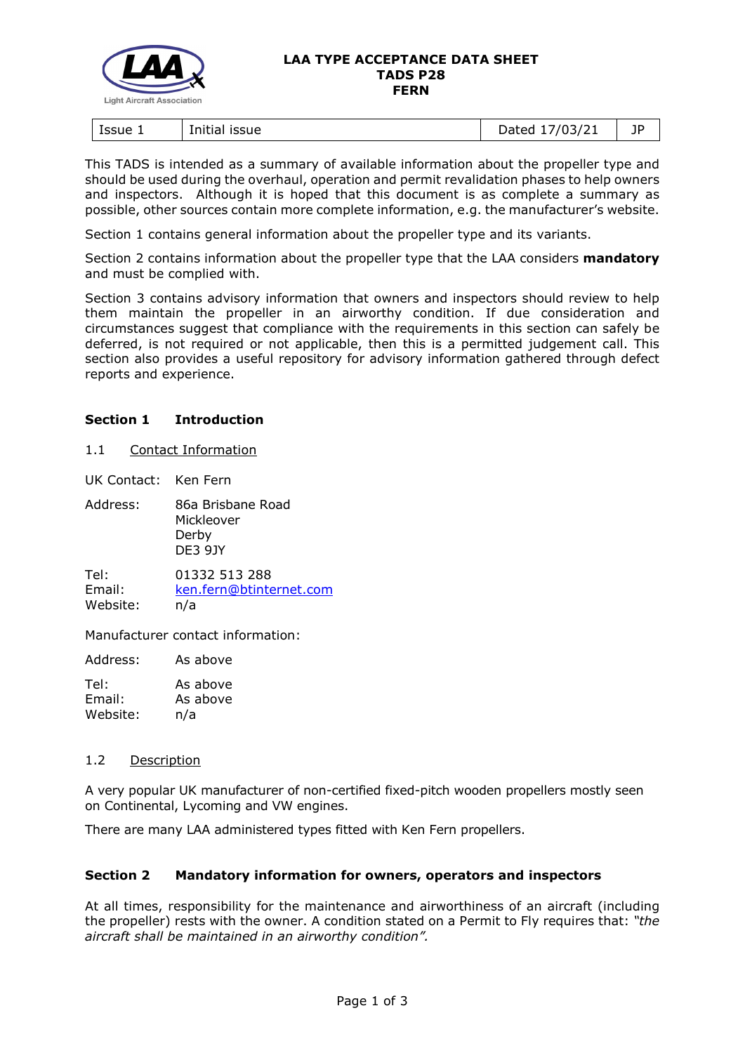

#### **LAA TYPE ACCEPTANCE DATA SHEET TADS P28 FERN**

| Issue 1<br>issue<br>Initial | //03/21<br>)ated<br>ـ 1 / 1<br>pacca | ПD |
|-----------------------------|--------------------------------------|----|
|-----------------------------|--------------------------------------|----|

This TADS is intended as a summary of available information about the propeller type and should be used during the overhaul, operation and permit revalidation phases to help owners and inspectors. Although it is hoped that this document is as complete a summary as possible, other sources contain more complete information, e.g. the manufacturer's website.

Section 1 contains general information about the propeller type and its variants.

Section 2 contains information about the propeller type that the LAA considers **mandatory** and must be complied with.

Section 3 contains advisory information that owners and inspectors should review to help them maintain the propeller in an airworthy condition. If due consideration and circumstances suggest that compliance with the requirements in this section can safely be deferred, is not required or not applicable, then this is a permitted judgement call. This section also provides a useful repository for advisory information gathered through defect reports and experience.

## **Section 1 Introduction**

1.1 Contact Information

UK Contact: Ken Fern

Tel: 01332 513 288 Email: [ken.fern@btinternet.com](mailto:ken.fern@btinternet.com) Website: n/a

Manufacturer contact information:

Address: As above

| Tel:     | As above |
|----------|----------|
| Email:   | As above |
| Website: | n/a      |

## 1.2 Description

A very popular UK manufacturer of non-certified fixed-pitch wooden propellers mostly seen on Continental, Lycoming and VW engines.

There are many LAA administered types fitted with Ken Fern propellers.

## **Section 2 Mandatory information for owners, operators and inspectors**

At all times, responsibility for the maintenance and airworthiness of an aircraft (including the propeller) rests with the owner. A condition stated on a Permit to Fly requires that: *"the aircraft shall be maintained in an airworthy condition".*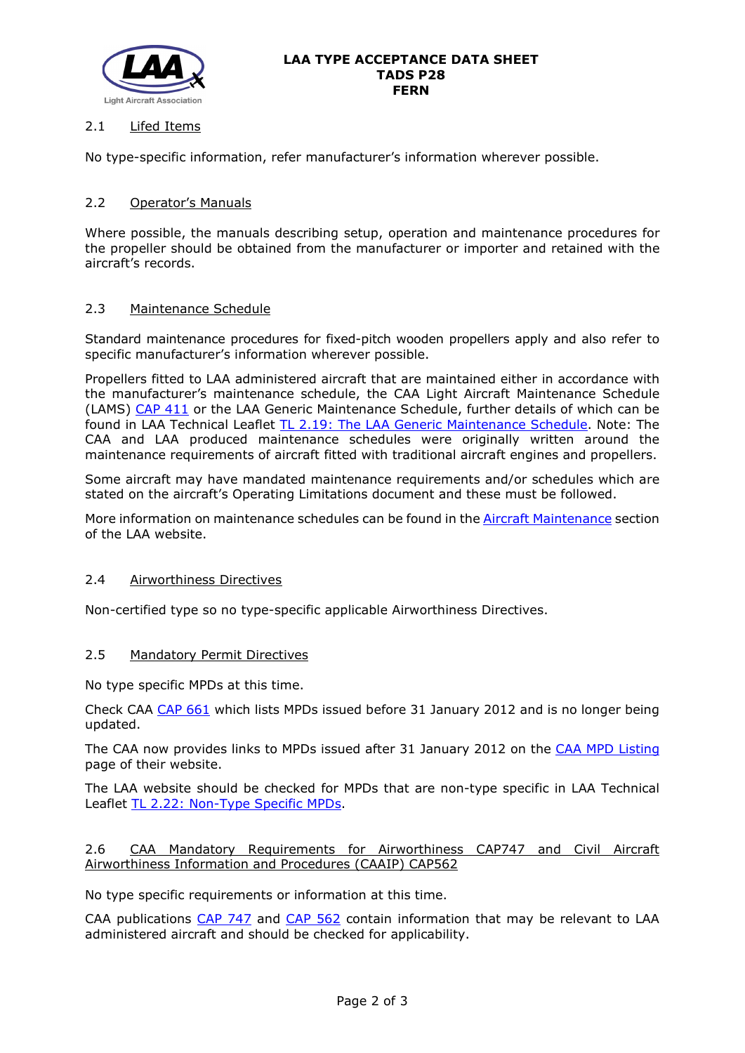

# 2.1 Lifed Items

No type-specific information, refer manufacturer's information wherever possible.

# 2.2 Operator's Manuals

Where possible, the manuals describing setup, operation and maintenance procedures for the propeller should be obtained from the manufacturer or importer and retained with the aircraft's records.

## 2.3 Maintenance Schedule

Standard maintenance procedures for fixed-pitch wooden propellers apply and also refer to specific manufacturer's information wherever possible.

Propellers fitted to LAA administered aircraft that are maintained either in accordance with the manufacturer's maintenance schedule, the CAA Light Aircraft Maintenance Schedule (LAMS) [CAP 411](http://www.caa.co.uk/CAP411) or the LAA Generic Maintenance Schedule, further details of which can be found in LAA Technical Leaflet [TL 2.19: The LAA Generic Maintenance Schedule.](http://www.lightaircraftassociation.co.uk/engineering/TechnicalLeaflets/Operating%20An%20Aircraft/TL%202.19%20The%20LAA%20Generic%20Maintenance%20Schedule.pdf) Note: The CAA and LAA produced maintenance schedules were originally written around the maintenance requirements of aircraft fitted with traditional aircraft engines and propellers.

Some aircraft may have mandated maintenance requirements and/or schedules which are stated on the aircraft's Operating Limitations document and these must be followed.

More information on maintenance schedules can be found in the [Aircraft Maintenance](http://www.lightaircraftassociation.co.uk/engineering/Maintenance/Aircraft_Maintenance.html) section of the LAA website.

## 2.4 Airworthiness Directives

Non-certified type so no type-specific applicable Airworthiness Directives.

#### 2.5 Mandatory Permit Directives

No type specific MPDs at this time.

Check CAA [CAP 661](http://www.caa.co.uk/cap661) which lists MPDs issued before 31 January 2012 and is no longer being updated.

The CAA now provides links to MPDs issued after 31 January 2012 on the [CAA MPD Listing](http://publicapps.caa.co.uk/modalapplication.aspx?appid=11&mode=list&type=sercat&id=55) page of their website.

The LAA website should be checked for MPDs that are non-type specific in LAA Technical Leaflet [TL 2.22: Non-Type Specific MPDs.](http://www.lightaircraftassociation.co.uk/engineering/TechnicalLeaflets/Operating%20An%20Aircraft/TL%202.22%20non-type%20specific%20MPDs.pdf)

## 2.6 CAA Mandatory Requirements for Airworthiness CAP747 and Civil Aircraft Airworthiness Information and Procedures (CAAIP) CAP562

No type specific requirements or information at this time.

CAA publications [CAP 747](http://www.caa.co.uk/CAP747) and [CAP 562](http://www.caa.co.uk/CAP562) contain information that may be relevant to LAA administered aircraft and should be checked for applicability.